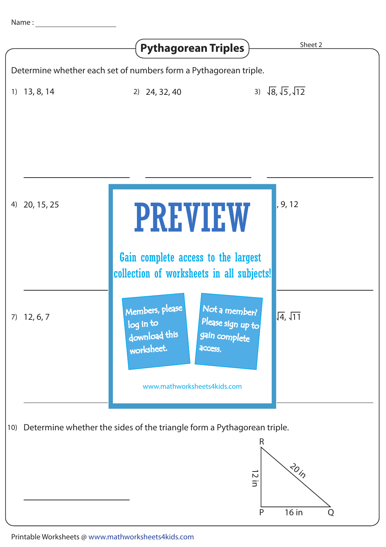|                                                                  |                                                                                                 | <b>Pythagorean Triples</b>                                                                                                                                   | Sheet 2                            |  |  |  |
|------------------------------------------------------------------|-------------------------------------------------------------------------------------------------|--------------------------------------------------------------------------------------------------------------------------------------------------------------|------------------------------------|--|--|--|
| Determine whether each set of numbers form a Pythagorean triple. |                                                                                                 |                                                                                                                                                              |                                    |  |  |  |
| 1)                                                               | 13, 8, 14                                                                                       | $2)$ 24, 32, 40                                                                                                                                              | 3) $\sqrt{8}, \sqrt{5}, \sqrt{12}$ |  |  |  |
| 4)                                                               | 20, 15, 25                                                                                      | <b>PREVIEW</b>                                                                                                                                               | , 9, 12                            |  |  |  |
|                                                                  |                                                                                                 | Gain complete access to the largest<br>collection of worksheets in all subjects!                                                                             |                                    |  |  |  |
|                                                                  | $7)$ 12, 6, 7                                                                                   | Members, please<br>Not a member?<br>Please sign up to<br>log in to<br>download this<br>gain complete<br>worksheet.<br>access.<br>www.mathworksheets4kids.com | $\sqrt{4}$ , $\sqrt{11}$           |  |  |  |
|                                                                  | 10) Determine whether the sides of the triangle form a Pythagorean triple.<br>R<br>30h<br>12 in |                                                                                                                                                              |                                    |  |  |  |
|                                                                  |                                                                                                 |                                                                                                                                                              | 16 in<br>$\mathsf{P}$<br>Q         |  |  |  |